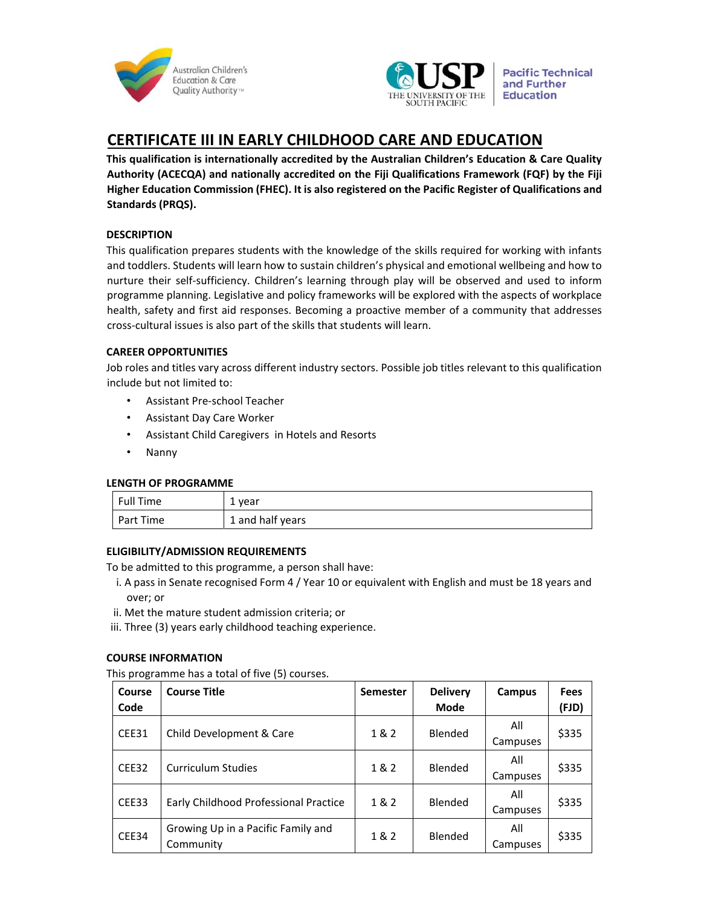



**Pacific Technical** and Further

# **CERTIFICATE III IN EARLY CHILDHOOD CARE AND EDUCATION**

**This qualification is internationally accredited by the Australian Children's Education & Care Quality Authority (ACECQA) and nationally accredited on the Fiji Qualifications Framework (FQF) by the Fiji Higher Education Commission (FHEC). It is also registered on the Pacific Register of Qualifications and Standards (PRQS).** 

# **DESCRIPTION**

This qualification prepares students with the knowledge of the skills required for working with infants and toddlers. Students will learn how to sustain children's physical and emotional wellbeing and how to nurture their self‐sufficiency. Children's learning through play will be observed and used to inform programme planning. Legislative and policy frameworks will be explored with the aspects of workplace health, safety and first aid responses. Becoming a proactive member of a community that addresses cross‐cultural issues is also part of the skills that students will learn.

## **CAREER OPPORTUNITIES**

Job roles and titles vary across different industry sectors. Possible job titles relevant to this qualification include but not limited to:

- Assistant Pre‐school Teacher
- Assistant Day Care Worker
- Assistant Child Caregivers in Hotels and Resorts
- Nanny

# **LENGTH OF PROGRAMME**

| Full Time | 1 year           |
|-----------|------------------|
| Part Time | 1 and half years |

# **ELIGIBILITY/ADMISSION REQUIREMENTS**

To be admitted to this programme, a person shall have:

- i. A pass in Senate recognised Form 4 / Year 10 or equivalent with English and must be 18 years and over; or
- ii. Met the mature student admission criteria; or
- iii. Three (3) years early childhood teaching experience.

# **COURSE INFORMATION**

This programme has a total of five (5) courses.

| Course<br>Code | <b>Course Title</b>                             | <b>Semester</b> | <b>Delivery</b><br><b>Mode</b> | Campus          | <b>Fees</b><br>(FJD) |
|----------------|-------------------------------------------------|-----------------|--------------------------------|-----------------|----------------------|
| CEE31          | Child Development & Care                        | 1&2             | Blended                        | All<br>Campuses | \$335                |
| CEE32          | <b>Curriculum Studies</b>                       | 1&2             | Blended                        | All<br>Campuses | \$335                |
| CEE33          | Early Childhood Professional Practice           | 1&2             | Blended                        | All<br>Campuses | \$335                |
| CEE34          | Growing Up in a Pacific Family and<br>Community | 1 & 2           | <b>Blended</b>                 | All<br>Campuses | \$335                |